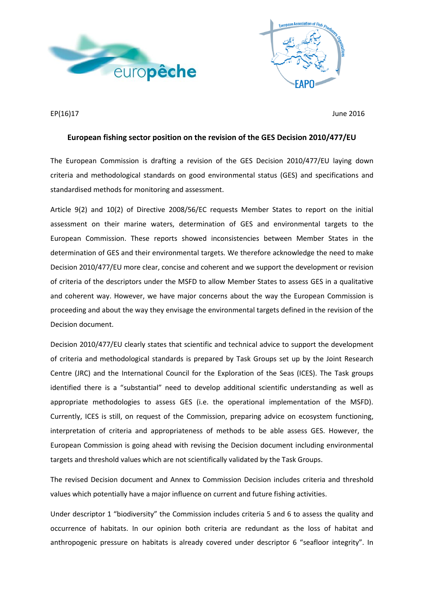



EP(16)17 June 2016

## **European fishing sector position on the revision of the GES Decision 2010/477/EU**

The European Commission is drafting a revision of the GES Decision 2010/477/EU laying down criteria and methodological standards on good environmental status (GES) and specifications and standardised methods for monitoring and assessment.

Article 9(2) and 10(2) of Directive 2008/56/EC requests Member States to report on the initial assessment on their marine waters, determination of GES and environmental targets to the European Commission. These reports showed inconsistencies between Member States in the determination of GES and their environmental targets. We therefore acknowledge the need to make Decision 2010/477/EU more clear, concise and coherent and we support the development or revision of criteria of the descriptors under the MSFD to allow Member States to assess GES in a qualitative and coherent way. However, we have major concerns about the way the European Commission is proceeding and about the way they envisage the environmental targets defined in the revision of the Decision document.

Decision 2010/477/EU clearly states that scientific and technical advice to support the development of criteria and methodological standards is prepared by Task Groups set up by the Joint Research Centre (JRC) and the International Council for the Exploration of the Seas (ICES). The Task groups identified there is a "substantial" need to develop additional scientific understanding as well as appropriate methodologies to assess GES (i.e. the operational implementation of the MSFD). Currently, ICES is still, on request of the Commission, preparing advice on ecosystem functioning, interpretation of criteria and appropriateness of methods to be able assess GES. However, the European Commission is going ahead with revising the Decision document including environmental targets and threshold values which are not scientifically validated by the Task Groups.

The revised Decision document and Annex to Commission Decision includes criteria and threshold values which potentially have a major influence on current and future fishing activities.

Under descriptor 1 "biodiversity" the Commission includes criteria 5 and 6 to assess the quality and occurrence of habitats. In our opinion both criteria are redundant as the loss of habitat and anthropogenic pressure on habitats is already covered under descriptor 6 "seafloor integrity". In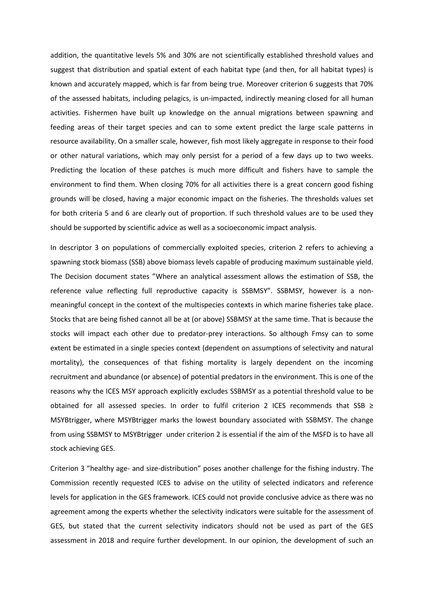addition, the quantitative levels 5% and 30% are not scientifically established threshold values and suggest that distribution and spatial extent of each habitat type (and then, for all habitat types) is known and accurately mapped, which is far from being true. Moreover criterion 6 suggests that 70% of the assessed habitats, including pelagics, is un-impacted, indirectly meaning closed for all human activities. Fishermen have built up knowledge on the annual migrations between spawning and feeding areas of their target species and can to some extent predict the large scale patterns in resource availability. On a smaller scale, however, fish most likely aggregate in response to their food or other natural variations, which may only persist for a period of a few days up to two weeks. Predicting the location of these patches is much more difficult and fishers have to sample the environment to find them. When closing 70% for all activities there is a great concern good fishing grounds will be closed, having a major economic impact on the fisheries. The thresholds values set for both criteria 5 and 6 are clearly out of proportion. If such threshold values are to be used they should be supported by scientific advice as well as a socioeconomic impact analysis.

In descriptor 3 on populations of commercially exploited species, criterion 2 refers to achieving a spawning stock biomass (SSB) above biomass levels capable of producing maximum sustainable yield. The Decision document states "Where an analytical assessment allows the estimation of SSB, the reference value reflecting full reproductive capacity is SSBMSY". SSBMSY, however is a nonmeaningful concept in the context of the multispecies contexts in which marine fisheries take place. Stocks that are being fished cannot all be at (or above) SSBMSY at the same time. That is because the stocks will impact each other due to predator-prey interactions. So although Fmsy can to some extent be estimated in a single species context (dependent on assumptions of selectivity and natural mortality), the consequences of that fishing mortality is largely dependent on the incoming recruitment and abundance (or absence) of potential predators in the environment. This is one of the reasons why the ICES MSY approach explicitly excludes SSBMSY as a potential threshold value to be obtained for all assessed species. In order to fulfil criterion 2 ICES recommends that SSB  $\ge$ MSYBtrigger, where MSYBtrigger marks the lowest boundary associated with SSBMSY. The change from using SSBMSY to MSYBtrigger under criterion 2 is essential if the aim of the MSFD is to have all stock achieving GES.

Criterion 3 "healthy age- and size-distribution" poses another challenge for the fishing industry. The Commission recently requested ICES to advise on the utility of selected indicators and reference levels for application in the GES framework. ICES could not provide conclusive advice as there was no agreement among the experts whether the selectivity indicators were suitable for the assessment of GES, but stated that the current selectivity indicators should not be used as part of the GES assessment in 2018 and require further development. In our opinion, the development of such an